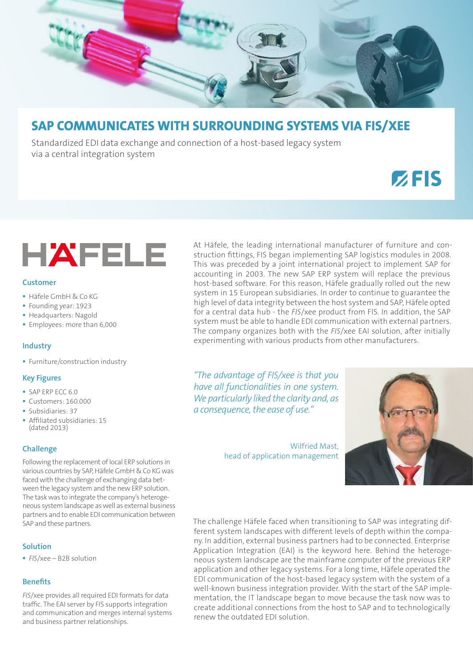

# **SAP COMMUNICATES WITH SURROUNDING SYSTEMS VIA FIS/XEE**

Standardized EDI data exchange and connection of a host-based legacy system via a central integration system

# $Z$ FIS



#### **Customer**

- Häfele GmbH & Co KG
- Founding year: 1923
- **Headquarters: Nagold**
- **Employees: more than 6,000**

# **Industry**

**Furniture/construction industry** 

#### **Key Figures**

- SAP ERP ECC 6.0
- Customers: 160,000
- Subsidiaries: 37
- Affiliated subsidiaries: 15 (dated 2013)

# **Challenge**

Following the replacement of local ERP solutions in various countries by SAP, Häfele GmbH & Co KG was faced with the challenge of exchanging data between the legacy system and the new ERP solution. The task was to integrate the company's heterogeneous system landscape as well as external business partners and to enable EDI communication between SAP and these partners.

# **Solution**

*FIS*/xee – B2B solution

# **Benefits**

*FIS*/xee provides all required EDI formats for data traffic. The EAI server by FIS supports integration and communication and merges internal systems and business partner relationships.

At Häfele, the leading international manufacturer of furniture and construction fittings, FIS began implementing SAP logistics modules in 2008. This was preceded by a joint international project to implement SAP for accounting in 2003. The new SAP ERP system will replace the previous host-based software. For this reason, Häfele gradually rolled out the new system in 15 European subsidiaries. In order to continue to guarantee the high level of data integrity between the host system and SAP, Häfele opted for a central data hub - the *FIS*/xee product from FIS. In addition, the SAP system must be able to handle EDI communication with external partners. The company organizes both with the *FIS*/xee EAI solution, after initially experimenting with various products from other manufacturers.

*"The advantage of FIS/xee is that you have all functionalities in one system. We particularly liked the clarity and, as a consequence, the ease of use."*

> Wilfried Mast, head of application management



The challenge Häfele faced when transitioning to SAP was integrating different system landscapes with different levels of depth within the company. In addition, external business partners had to be connected. Enterprise Application Integration (EAI) is the keyword here. Behind the heterogeneous system landscape are the mainframe computer of the previous ERP application and other legacy systems. For a long time, Häfele operated the EDI communication of the host-based legacy system with the system of a well-known business integration provider. With the start of the SAP implementation, the IT landscape began to move because the task now was to create additional connections from the host to SAP and to technologically renew the outdated EDI solution.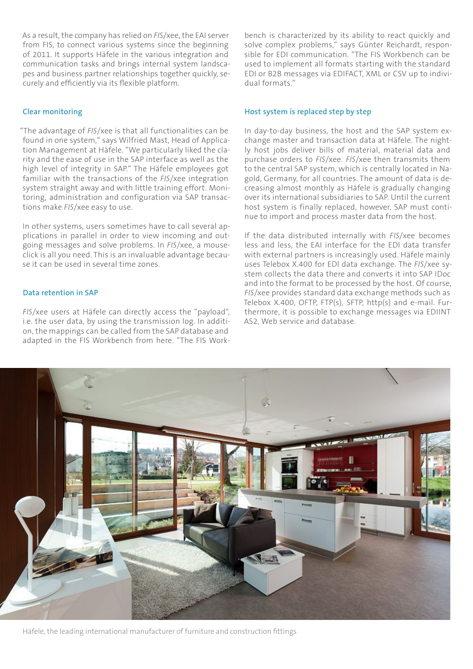As a result, the company has relied on *FIS*/xee, the EAI server from FIS, to connect various systems since the beginning of 2011. It supports Häfele in the various integration and communication tasks and brings internal system landscapes and business partner relationships together quickly, securely and efficiently via its flexible platform.

# **Clear monitoring**

"The advantage of *FIS*/xee is that all functionalities can be found in one system," says Wilfried Mast, Head of Application Management at Häfele. "We particularly liked the clarity and the ease of use in the SAP interface as well as the high level of integrity in SAP." The Häfele employees got familiar with the transactions of the *FIS*/xee integration system straight away and with little training effort. Monitoring, administration and configuration via SAP transactions make *FIS*/xee easy to use.

In other systems, users sometimes have to call several applications in parallel in order to view incoming and outgoing messages and solve problems. In *FIS*/xee, a mouseclick is all you need. This is an invaluable advantage because it can be used in several time zones.

#### **Data retention in SAP**

*FIS*/xee users at Häfele can directly access the "payload", i.e. the user data, by using the transmission log. In addition, the mappings can be called from the SAP database and adapted in the FIS Workbench from here. "The FIS Workbench is characterized by its ability to react quickly and solve complex problems," says Günter Reichardt, responsible for EDI communication. "The FIS Workbench can be used to implement all formats starting with the standard EDI or B2B messages via EDIFACT, XML or CSV up to individual formats."

#### **Host system is replaced step by step**

In day-to-day business, the host and the SAP system exchange master and transaction data at Häfele. The nightly host jobs deliver bills of material, material data and purchase orders to *FIS*/xee. *FIS*/xee then transmits them to the central SAP system, which is centrally located in Nagold, Germany, for all countries. The amount of data is decreasing almost monthly as Häfele is gradually changing over its international subsidiaries to SAP. Until the current host system is finally replaced, however, SAP must continue to import and process master data from the host.

If the data distributed internally with *FIS*/xee becomes less and less, the EAI interface for the EDI data transfer with external partners is increasingly used. Häfele mainly uses Telebox X.400 for EDI data exchange. The *FIS*/xee system collects the data there and converts it into SAP IDoc and into the format to be processed by the host. Of course, *FIS*/xee provides standard data exchange methods such as Telebox  $X.400$ , OFTP, FTP(s), SFTP, http(s) and e-mail. Furthermore, it is possible to exchange messages via EDIINT AS2, Web service and database.



Häfele, the leading international manufacturer of furniture and construction fittings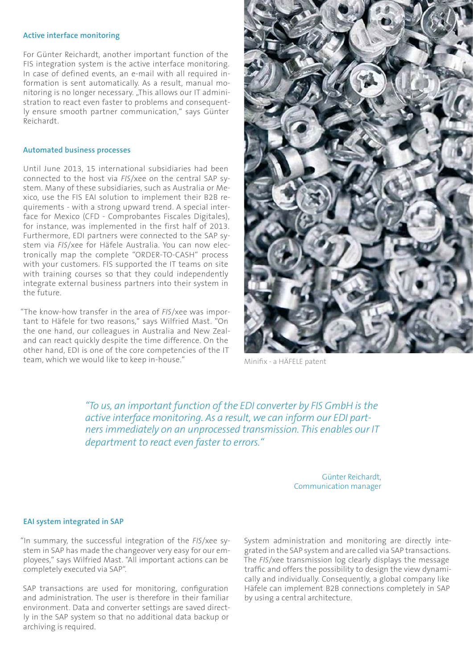#### **Active interface monitoring**

For Günter Reichardt, another important function of the FIS integration system is the active interface monitoring. In case of defined events, an e-mail with all required information is sent automatically. As a result, manual monitoring is no longer necessary. "This allows our IT administration to react even faster to problems and consequently ensure smooth partner communication," says Günter Reichardt.

#### **Automated business processes**

Until June 2013, 15 international subsidiaries had been connected to the host via *FIS*/xee on the central SAP system. Many of these subsidiaries, such as Australia or Mexico, use the FIS EAI solution to implement their B2B requirements - with a strong upward trend. A special interface for Mexico (CFD - Comprobantes Fiscales Digitales), for instance, was implemented in the first half of 2013. Furthermore, EDI partners were connected to the SAP system via *FIS*/xee for Häfele Australia. You can now electronically map the complete "ORDER-TO-CASH" process with your customers. FIS supported the IT teams on site with training courses so that they could independently integrate external business partners into their system in the future.

"The know-how transfer in the area of *FIS*/xee was important to Häfele for two reasons," says Wilfried Mast. "On the one hand, our colleagues in Australia and New Zealand can react quickly despite the time difference. On the other hand, EDI is one of the core competencies of the IT team, which we would like to keep in-house."



Minifix - a HÄFELE patent

*"To us, an important function of the EDI converter by FIS GmbH is the active interface monitoring. As a result, we can inform our EDI partners immediately on an unprocessed transmission. This enables our IT department to react even faster to errors."* 

> Günter Reichardt, Communication manager

#### **EAI system integrated in SAP**

"In summary, the successful integration of the *FIS*/xee system in SAP has made the changeover very easy for our employees," says Wilfried Mast. "All important actions can be completely executed via SAP".

SAP transactions are used for monitoring, configuration and administration. The user is therefore in their familiar environment. Data and converter settings are saved directly in the SAP system so that no additional data backup or archiving is required.

System administration and monitoring are directly integrated in the SAP system and are called via SAP transactions. The *FIS*/xee transmission log clearly displays the message traffic and offers the possibility to design the view dynamically and individually. Consequently, a global company like Häfele can implement B2B connections completely in SAP by using a central architecture.